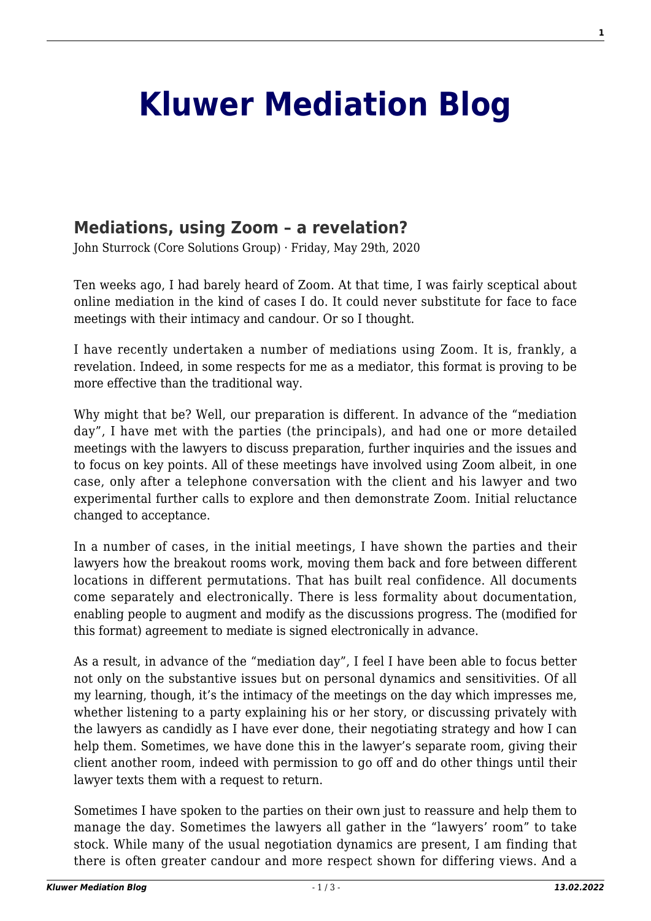## **[Kluwer Mediation Blog](http://mediationblog.kluwerarbitration.com/)**

## **[Mediations, using Zoom – a revelation?](http://mediationblog.kluwerarbitration.com/2020/05/29/mediations-using-zoom-a-revelation/)**

John Sturrock (Core Solutions Group) · Friday, May 29th, 2020

Ten weeks ago, I had barely heard of Zoom. At that time, I was fairly sceptical about online mediation in the kind of cases I do. It could never substitute for face to face meetings with their intimacy and candour. Or so I thought.

I have recently undertaken a number of mediations using Zoom. It is, frankly, a revelation. Indeed, in some respects for me as a mediator, this format is proving to be more effective than the traditional way.

Why might that be? Well, our preparation is different. In advance of the "mediation day", I have met with the parties (the principals), and had one or more detailed meetings with the lawyers to discuss preparation, further inquiries and the issues and to focus on key points. All of these meetings have involved using Zoom albeit, in one case, only after a telephone conversation with the client and his lawyer and two experimental further calls to explore and then demonstrate Zoom. Initial reluctance changed to acceptance.

In a number of cases, in the initial meetings, I have shown the parties and their lawyers how the breakout rooms work, moving them back and fore between different locations in different permutations. That has built real confidence. All documents come separately and electronically. There is less formality about documentation, enabling people to augment and modify as the discussions progress. The (modified for this format) agreement to mediate is signed electronically in advance.

As a result, in advance of the "mediation day", I feel I have been able to focus better not only on the substantive issues but on personal dynamics and sensitivities. Of all my learning, though, it's the intimacy of the meetings on the day which impresses me, whether listening to a party explaining his or her story, or discussing privately with the lawyers as candidly as I have ever done, their negotiating strategy and how I can help them. Sometimes, we have done this in the lawyer's separate room, giving their client another room, indeed with permission to go off and do other things until their lawyer texts them with a request to return.

Sometimes I have spoken to the parties on their own just to reassure and help them to manage the day. Sometimes the lawyers all gather in the "lawyers' room" to take stock. While many of the usual negotiation dynamics are present, I am finding that there is often greater candour and more respect shown for differing views. And a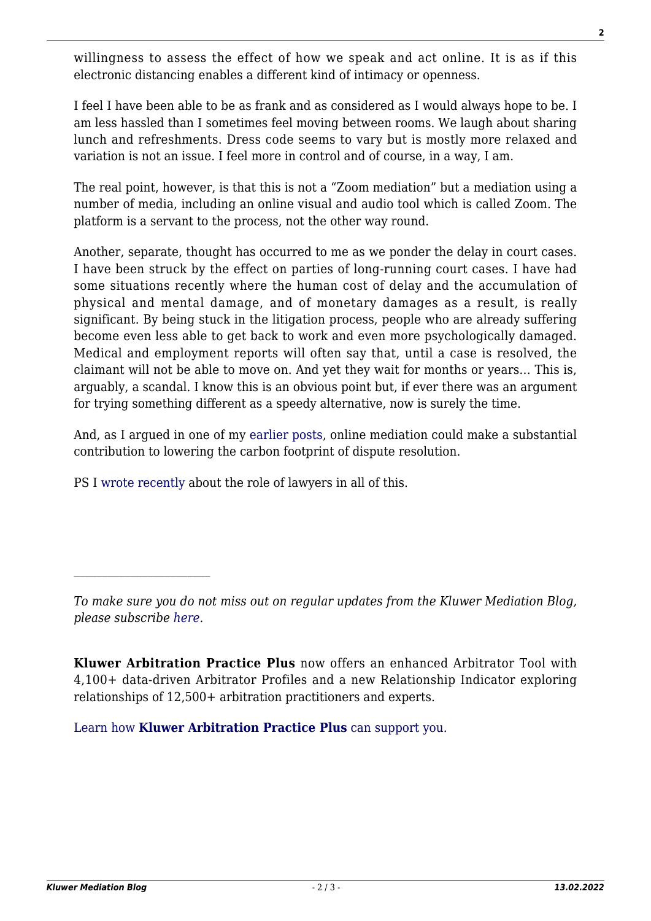willingness to assess the effect of how we speak and act online. It is as if this electronic distancing enables a different kind of intimacy or openness.

I feel I have been able to be as frank and as considered as I would always hope to be. I am less hassled than I sometimes feel moving between rooms. We laugh about sharing lunch and refreshments. Dress code seems to vary but is mostly more relaxed and variation is not an issue. I feel more in control and of course, in a way, I am.

The real point, however, is that this is not a "Zoom mediation" but a mediation using a number of media, including an online visual and audio tool which is called Zoom. The platform is a servant to the process, not the other way round.

Another, separate, thought has occurred to me as we ponder the delay in court cases. I have been struck by the effect on parties of long-running court cases. I have had some situations recently where the human cost of delay and the accumulation of physical and mental damage, and of monetary damages as a result, is really significant. By being stuck in the litigation process, people who are already suffering become even less able to get back to work and even more psychologically damaged. Medical and employment reports will often say that, until a case is resolved, the claimant will not be able to move on. And yet they wait for months or years… This is, arguably, a scandal. I know this is an obvious point but, if ever there was an argument for trying something different as a speedy alternative, now is surely the time.

And, as I argued in one of my [earlier posts](http://mediationblog.kluwerarbitration.com/2020/02/28/the-world-mediators-alliance-on-climate-change/?doing_wp_cron=1590758517.8262569904327392578125), online mediation could make a substantial contribution to lowering the carbon footprint of dispute resolution.

PS I [wrote recently](https://www.scotsman.com/news/opinion/columnists/abraham-lincoln-sought-compromise-so-should-we-john-sturrock-2860951) about the role of lawyers in all of this.

**Kluwer Arbitration Practice Plus** now offers an enhanced Arbitrator Tool with 4,100+ data-driven Arbitrator Profiles and a new Relationship Indicator exploring relationships of 12,500+ arbitration practitioners and experts.

[Learn how](https://www.wolterskluwer.com/en/solutions/kluwerarbitration/practiceplus?utm_source=mediationblog&utm_medium=articleCTA&utm_campaign=article-banner) **[Kluwer Arbitration Practice Plus](https://www.wolterskluwer.com/en/solutions/kluwerarbitration/practiceplus?utm_source=mediationblog&utm_medium=articleCTA&utm_campaign=article-banner)** [can support you.](https://www.wolterskluwer.com/en/solutions/kluwerarbitration/practiceplus?utm_source=mediationblog&utm_medium=articleCTA&utm_campaign=article-banner)

*To make sure you do not miss out on regular updates from the Kluwer Mediation Blog, please subscribe [here.](http://mediationblog.kluwerarbitration.com/newsletter/)*